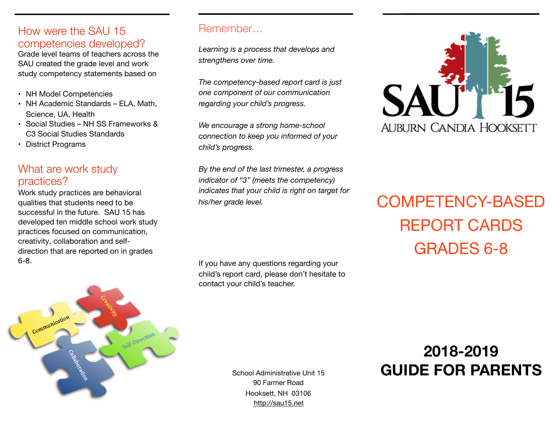### How were the SAU 15 competencies developed?

Grade level teams of teachers across the SAU created the grade level and work study competency statements based on

- NH Model Competencies
- NH Academic Standards ELA, Math, Science, UA, Health
- Social Studies NH SS Frameworks & C3 Social Studies Standards
- District Programs

# What are work study practices?

Work study practices are behavioral qualities that students need to be successful in the future. SAU 15 has developed ten middle school work study practices focused on communication, creativity, collaboration and selfdirection that are reported on in grades 6-8.



#### Remember…

*Learning is a process that develops and strengthens over time.* 

*The competency-based report card is just one component of our communication regarding your child's progress.* 

*We encourage a strong home-school connection to keep you informed of your child's progress.* 

*By the end of the last trimester, a progress indicator of "3" (meets the competency) indicates that your child is right on target for his/her grade level.* 

If you have any questions regarding your child's report card, please don't hesitate to contact your child's teacher.



# COMPETENCY-BASED REPORT CARDS GRADES 6-8

# **2018-2019** School Administrative Unit 15 **GUIDE FOR PARENTS**

90 Farmer Road Hooksett, NH 03106 <http://sau15.net>